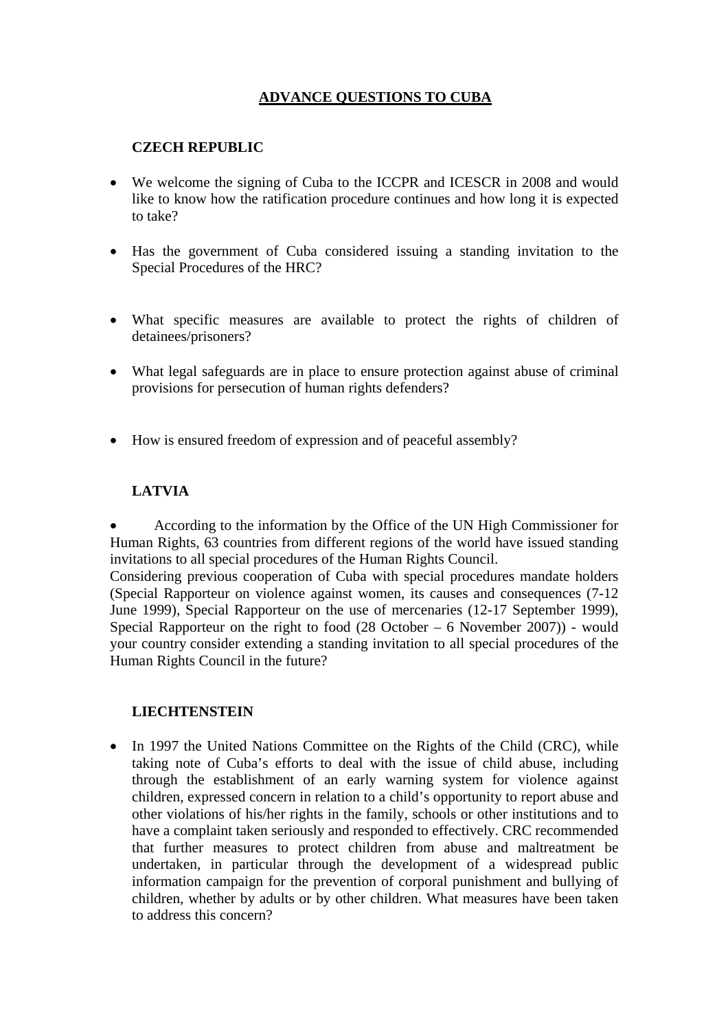# **ADVANCE QUESTIONS TO CUBA**

## **CZECH REPUBLIC**

- We welcome the signing of Cuba to the ICCPR and ICESCR in 2008 and would like to know how the ratification procedure continues and how long it is expected to take?
- Has the government of Cuba considered issuing a standing invitation to the Special Procedures of the HRC?
- What specific measures are available to protect the rights of children of detainees/prisoners?
- What legal safeguards are in place to ensure protection against abuse of criminal provisions for persecution of human rights defenders?
- How is ensured freedom of expression and of peaceful assembly?

### **LATVIA**

• According to the information by the Office of the UN High Commissioner for Human Rights, 63 countries from different regions of the world have issued standing invitations to all special procedures of the Human Rights Council.

Considering previous cooperation of Cuba with special procedures mandate holders (Special Rapporteur on violence against women, its causes and consequences (7-12 June 1999), Special Rapporteur on the use of mercenaries (12-17 September 1999), Special Rapporteur on the right to food  $(28 \text{ October} - 6 \text{ November } 2007)$  - would your country consider extending a standing invitation to all special procedures of the Human Rights Council in the future?

### **LIECHTENSTEIN**

• In 1997 the United Nations Committee on the Rights of the Child (CRC), while taking note of Cuba's efforts to deal with the issue of child abuse, including through the establishment of an early warning system for violence against children, expressed concern in relation to a child's opportunity to report abuse and other violations of his/her rights in the family, schools or other institutions and to have a complaint taken seriously and responded to effectively. CRC recommended that further measures to protect children from abuse and maltreatment be undertaken, in particular through the development of a widespread public information campaign for the prevention of corporal punishment and bullying of children, whether by adults or by other children. What measures have been taken to address this concern?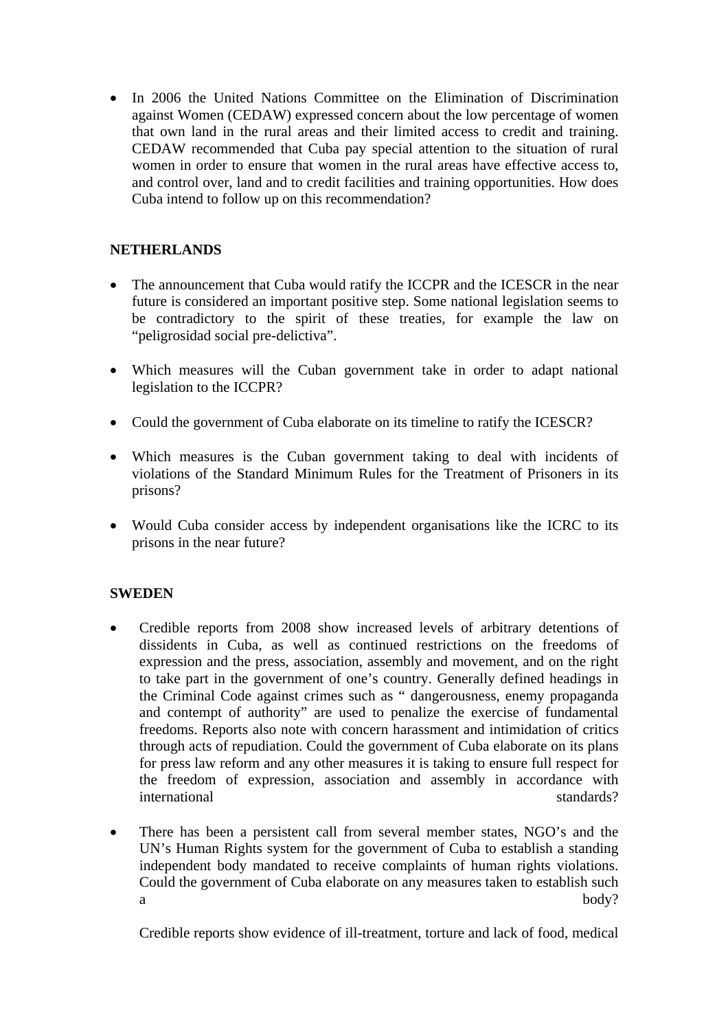• In 2006 the United Nations Committee on the Elimination of Discrimination against Women (CEDAW) expressed concern about the low percentage of women that own land in the rural areas and their limited access to credit and training. CEDAW recommended that Cuba pay special attention to the situation of rural women in order to ensure that women in the rural areas have effective access to, and control over, land and to credit facilities and training opportunities. How does Cuba intend to follow up on this recommendation?

## **NETHERLANDS**

- The announcement that Cuba would ratify the ICCPR and the ICESCR in the near future is considered an important positive step. Some national legislation seems to be contradictory to the spirit of these treaties, for example the law on "peligrosidad social pre-delictiva".
- Which measures will the Cuban government take in order to adapt national legislation to the ICCPR?
- Could the government of Cuba elaborate on its timeline to ratify the ICESCR?
- Which measures is the Cuban government taking to deal with incidents of violations of the Standard Minimum Rules for the Treatment of Prisoners in its prisons?
- Would Cuba consider access by independent organisations like the ICRC to its prisons in the near future?

### **SWEDEN**

- Credible reports from 2008 show increased levels of arbitrary detentions of dissidents in Cuba, as well as continued restrictions on the freedoms of expression and the press, association, assembly and movement, and on the right to take part in the government of one's country. Generally defined headings in the Criminal Code against crimes such as " dangerousness, enemy propaganda and contempt of authority" are used to penalize the exercise of fundamental freedoms. Reports also note with concern harassment and intimidation of critics through acts of repudiation. Could the government of Cuba elaborate on its plans for press law reform and any other measures it is taking to ensure full respect for the freedom of expression, association and assembly in accordance with international standards?
- There has been a persistent call from several member states, NGO's and the UN's Human Rights system for the government of Cuba to establish a standing independent body mandated to receive complaints of human rights violations. Could the government of Cuba elaborate on any measures taken to establish such a body?

Credible reports show evidence of ill-treatment, torture and lack of food, medical